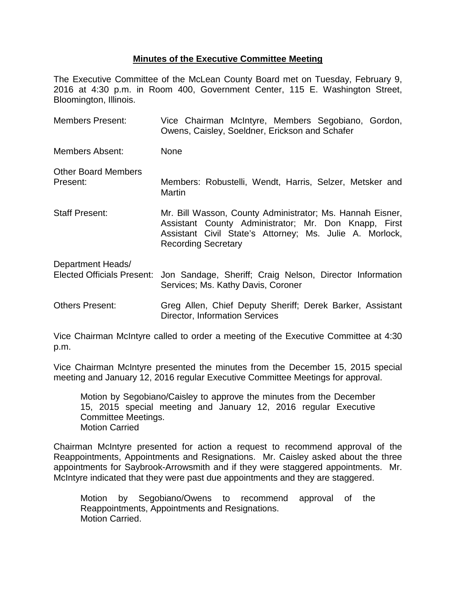## **Minutes of the Executive Committee Meeting**

The Executive Committee of the McLean County Board met on Tuesday, February 9, 2016 at 4:30 p.m. in Room 400, Government Center, 115 E. Washington Street, Bloomington, Illinois.

| <b>Members Present:</b>                                | Vice Chairman McIntyre, Members Segobiano, Gordon,<br>Owens, Caisley, Soeldner, Erickson and Schafer                                                                                                       |  |  |
|--------------------------------------------------------|------------------------------------------------------------------------------------------------------------------------------------------------------------------------------------------------------------|--|--|
| Members Absent:                                        | <b>None</b>                                                                                                                                                                                                |  |  |
| <b>Other Board Members</b><br>Present:                 | Members: Robustelli, Wendt, Harris, Selzer, Metsker and<br><b>Martin</b>                                                                                                                                   |  |  |
| <b>Staff Present:</b>                                  | Mr. Bill Wasson, County Administrator; Ms. Hannah Eisner,<br>Assistant County Administrator; Mr. Don Knapp, First<br>Assistant Civil State's Attorney; Ms. Julie A. Morlock,<br><b>Recording Secretary</b> |  |  |
| Department Heads/<br><b>Elected Officials Present:</b> | Jon Sandage, Sheriff; Craig Nelson, Director Information<br>Services; Ms. Kathy Davis, Coroner                                                                                                             |  |  |
| Others Present:                                        | Greg Allen, Chief Deputy Sheriff; Derek Barker, Assistant<br><b>Director, Information Services</b>                                                                                                         |  |  |

Vice Chairman McIntyre called to order a meeting of the Executive Committee at 4:30 p.m.

Vice Chairman McIntyre presented the minutes from the December 15, 2015 special meeting and January 12, 2016 regular Executive Committee Meetings for approval.

Motion by Segobiano/Caisley to approve the minutes from the December 15, 2015 special meeting and January 12, 2016 regular Executive Committee Meetings. Motion Carried

Chairman McIntyre presented for action a request to recommend approval of the Reappointments, Appointments and Resignations. Mr. Caisley asked about the three appointments for Saybrook-Arrowsmith and if they were staggered appointments. Mr. McIntyre indicated that they were past due appointments and they are staggered.

Motion by Segobiano/Owens to recommend approval of the Reappointments, Appointments and Resignations. Motion Carried.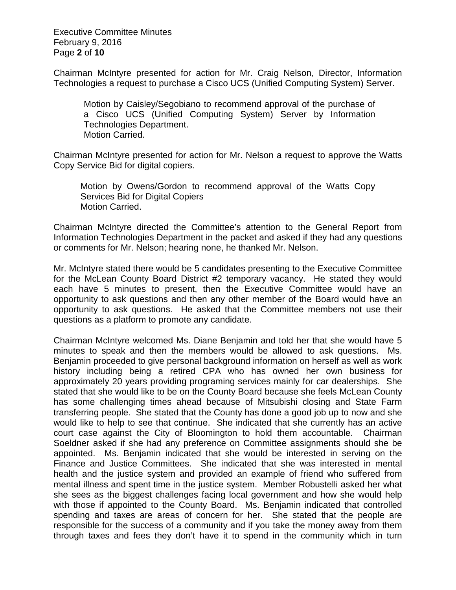Executive Committee Minutes February 9, 2016 Page **2** of **10**

Chairman McIntyre presented for action for Mr. Craig Nelson, Director, Information Technologies a request to purchase a Cisco UCS (Unified Computing System) Server.

Motion by Caisley/Segobiano to recommend approval of the purchase of a Cisco UCS (Unified Computing System) Server by Information Technologies Department. Motion Carried.

Chairman McIntyre presented for action for Mr. Nelson a request to approve the Watts Copy Service Bid for digital copiers.

Motion by Owens/Gordon to recommend approval of the Watts Copy Services Bid for Digital Copiers Motion Carried.

Chairman McIntyre directed the Committee's attention to the General Report from Information Technologies Department in the packet and asked if they had any questions or comments for Mr. Nelson; hearing none, he thanked Mr. Nelson.

Mr. McIntyre stated there would be 5 candidates presenting to the Executive Committee for the McLean County Board District #2 temporary vacancy. He stated they would each have 5 minutes to present, then the Executive Committee would have an opportunity to ask questions and then any other member of the Board would have an opportunity to ask questions. He asked that the Committee members not use their questions as a platform to promote any candidate.

Chairman McIntyre welcomed Ms. Diane Benjamin and told her that she would have 5 minutes to speak and then the members would be allowed to ask questions. Ms. Benjamin proceeded to give personal background information on herself as well as work history including being a retired CPA who has owned her own business for approximately 20 years providing programing services mainly for car dealerships. She stated that she would like to be on the County Board because she feels McLean County has some challenging times ahead because of Mitsubishi closing and State Farm transferring people. She stated that the County has done a good job up to now and she would like to help to see that continue. She indicated that she currently has an active court case against the City of Bloomington to hold them accountable. Chairman Soeldner asked if she had any preference on Committee assignments should she be appointed. Ms. Benjamin indicated that she would be interested in serving on the Finance and Justice Committees. She indicated that she was interested in mental health and the justice system and provided an example of friend who suffered from mental illness and spent time in the justice system. Member Robustelli asked her what she sees as the biggest challenges facing local government and how she would help with those if appointed to the County Board. Ms. Benjamin indicated that controlled spending and taxes are areas of concern for her. She stated that the people are responsible for the success of a community and if you take the money away from them through taxes and fees they don't have it to spend in the community which in turn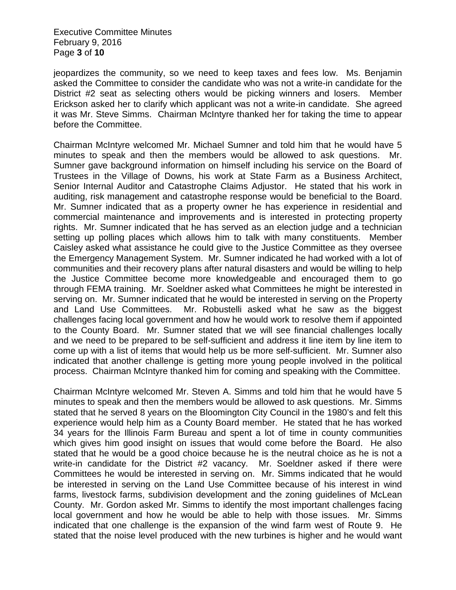Executive Committee Minutes February 9, 2016 Page **3** of **10**

jeopardizes the community, so we need to keep taxes and fees low. Ms. Benjamin asked the Committee to consider the candidate who was not a write-in candidate for the District #2 seat as selecting others would be picking winners and losers. Member Erickson asked her to clarify which applicant was not a write-in candidate. She agreed it was Mr. Steve Simms. Chairman McIntyre thanked her for taking the time to appear before the Committee.

Chairman McIntyre welcomed Mr. Michael Sumner and told him that he would have 5 minutes to speak and then the members would be allowed to ask questions. Mr. Sumner gave background information on himself including his service on the Board of Trustees in the Village of Downs, his work at State Farm as a Business Architect, Senior Internal Auditor and Catastrophe Claims Adjustor. He stated that his work in auditing, risk management and catastrophe response would be beneficial to the Board. Mr. Sumner indicated that as a property owner he has experience in residential and commercial maintenance and improvements and is interested in protecting property rights. Mr. Sumner indicated that he has served as an election judge and a technician setting up polling places which allows him to talk with many constituents. Member Caisley asked what assistance he could give to the Justice Committee as they oversee the Emergency Management System. Mr. Sumner indicated he had worked with a lot of communities and their recovery plans after natural disasters and would be willing to help the Justice Committee become more knowledgeable and encouraged them to go through FEMA training. Mr. Soeldner asked what Committees he might be interested in serving on. Mr. Sumner indicated that he would be interested in serving on the Property and Land Use Committees. Mr. Robustelli asked what he saw as the biggest challenges facing local government and how he would work to resolve them if appointed to the County Board. Mr. Sumner stated that we will see financial challenges locally and we need to be prepared to be self-sufficient and address it line item by line item to come up with a list of items that would help us be more self-sufficient. Mr. Sumner also indicated that another challenge is getting more young people involved in the political process. Chairman McIntyre thanked him for coming and speaking with the Committee.

Chairman McIntyre welcomed Mr. Steven A. Simms and told him that he would have 5 minutes to speak and then the members would be allowed to ask questions. Mr. Simms stated that he served 8 years on the Bloomington City Council in the 1980's and felt this experience would help him as a County Board member. He stated that he has worked 34 years for the Illinois Farm Bureau and spent a lot of time in county communities which gives him good insight on issues that would come before the Board. He also stated that he would be a good choice because he is the neutral choice as he is not a write-in candidate for the District #2 vacancy. Mr. Soeldner asked if there were Committees he would be interested in serving on. Mr. Simms indicated that he would be interested in serving on the Land Use Committee because of his interest in wind farms, livestock farms, subdivision development and the zoning guidelines of McLean County. Mr. Gordon asked Mr. Simms to identify the most important challenges facing local government and how he would be able to help with those issues. Mr. Simms indicated that one challenge is the expansion of the wind farm west of Route 9. He stated that the noise level produced with the new turbines is higher and he would want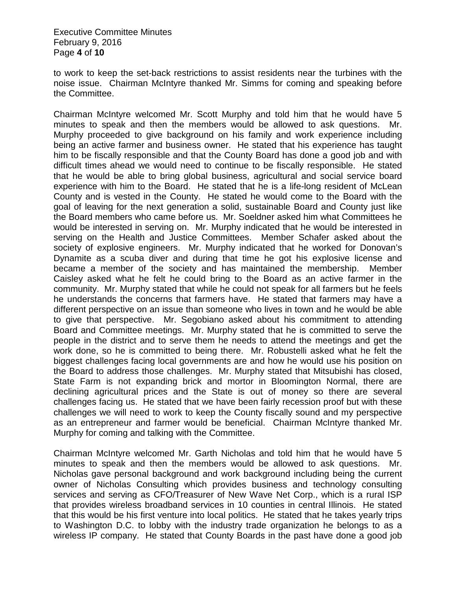Executive Committee Minutes February 9, 2016 Page **4** of **10**

to work to keep the set-back restrictions to assist residents near the turbines with the noise issue. Chairman McIntyre thanked Mr. Simms for coming and speaking before the Committee.

Chairman McIntyre welcomed Mr. Scott Murphy and told him that he would have 5 minutes to speak and then the members would be allowed to ask questions. Mr. Murphy proceeded to give background on his family and work experience including being an active farmer and business owner. He stated that his experience has taught him to be fiscally responsible and that the County Board has done a good job and with difficult times ahead we would need to continue to be fiscally responsible. He stated that he would be able to bring global business, agricultural and social service board experience with him to the Board. He stated that he is a life-long resident of McLean County and is vested in the County. He stated he would come to the Board with the goal of leaving for the next generation a solid, sustainable Board and County just like the Board members who came before us. Mr. Soeldner asked him what Committees he would be interested in serving on. Mr. Murphy indicated that he would be interested in serving on the Health and Justice Committees. Member Schafer asked about the society of explosive engineers. Mr. Murphy indicated that he worked for Donovan's Dynamite as a scuba diver and during that time he got his explosive license and became a member of the society and has maintained the membership. Member Caisley asked what he felt he could bring to the Board as an active farmer in the community. Mr. Murphy stated that while he could not speak for all farmers but he feels he understands the concerns that farmers have. He stated that farmers may have a different perspective on an issue than someone who lives in town and he would be able to give that perspective. Mr. Segobiano asked about his commitment to attending Board and Committee meetings. Mr. Murphy stated that he is committed to serve the people in the district and to serve them he needs to attend the meetings and get the work done, so he is committed to being there. Mr. Robustelli asked what he felt the biggest challenges facing local governments are and how he would use his position on the Board to address those challenges. Mr. Murphy stated that Mitsubishi has closed, State Farm is not expanding brick and mortor in Bloomington Normal, there are declining agricultural prices and the State is out of money so there are several challenges facing us. He stated that we have been fairly recession proof but with these challenges we will need to work to keep the County fiscally sound and my perspective as an entrepreneur and farmer would be beneficial. Chairman McIntyre thanked Mr. Murphy for coming and talking with the Committee.

Chairman McIntyre welcomed Mr. Garth Nicholas and told him that he would have 5 minutes to speak and then the members would be allowed to ask questions. Mr. Nicholas gave personal background and work background including being the current owner of Nicholas Consulting which provides business and technology consulting services and serving as CFO/Treasurer of New Wave Net Corp., which is a rural ISP that provides wireless broadband services in 10 counties in central Illinois. He stated that this would be his first venture into local politics. He stated that he takes yearly trips to Washington D.C. to lobby with the industry trade organization he belongs to as a wireless IP company. He stated that County Boards in the past have done a good job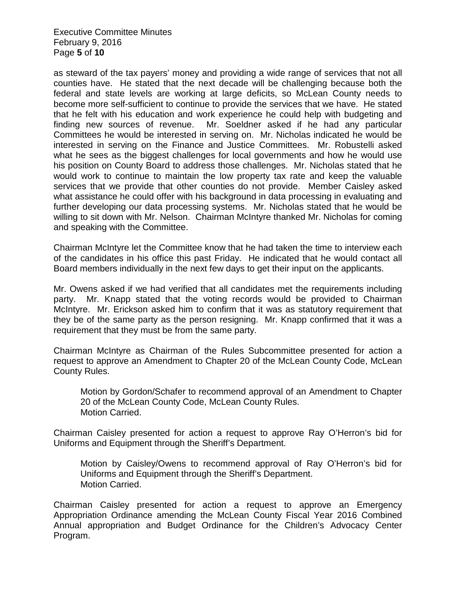Executive Committee Minutes February 9, 2016 Page **5** of **10**

as steward of the tax payers' money and providing a wide range of services that not all counties have. He stated that the next decade will be challenging because both the federal and state levels are working at large deficits, so McLean County needs to become more self-sufficient to continue to provide the services that we have. He stated that he felt with his education and work experience he could help with budgeting and finding new sources of revenue. Mr. Soeldner asked if he had any particular Committees he would be interested in serving on. Mr. Nicholas indicated he would be interested in serving on the Finance and Justice Committees. Mr. Robustelli asked what he sees as the biggest challenges for local governments and how he would use his position on County Board to address those challenges. Mr. Nicholas stated that he would work to continue to maintain the low property tax rate and keep the valuable services that we provide that other counties do not provide. Member Caisley asked what assistance he could offer with his background in data processing in evaluating and further developing our data processing systems. Mr. Nicholas stated that he would be willing to sit down with Mr. Nelson. Chairman McIntyre thanked Mr. Nicholas for coming and speaking with the Committee.

Chairman McIntyre let the Committee know that he had taken the time to interview each of the candidates in his office this past Friday. He indicated that he would contact all Board members individually in the next few days to get their input on the applicants.

Mr. Owens asked if we had verified that all candidates met the requirements including party. Mr. Knapp stated that the voting records would be provided to Chairman McIntyre. Mr. Erickson asked him to confirm that it was as statutory requirement that they be of the same party as the person resigning. Mr. Knapp confirmed that it was a requirement that they must be from the same party.

Chairman McIntyre as Chairman of the Rules Subcommittee presented for action a request to approve an Amendment to Chapter 20 of the McLean County Code, McLean County Rules.

Motion by Gordon/Schafer to recommend approval of an Amendment to Chapter 20 of the McLean County Code, McLean County Rules. Motion Carried.

Chairman Caisley presented for action a request to approve Ray O'Herron's bid for Uniforms and Equipment through the Sheriff's Department.

Motion by Caisley/Owens to recommend approval of Ray O'Herron's bid for Uniforms and Equipment through the Sheriff's Department. Motion Carried.

Chairman Caisley presented for action a request to approve an Emergency Appropriation Ordinance amending the McLean County Fiscal Year 2016 Combined Annual appropriation and Budget Ordinance for the Children's Advocacy Center Program.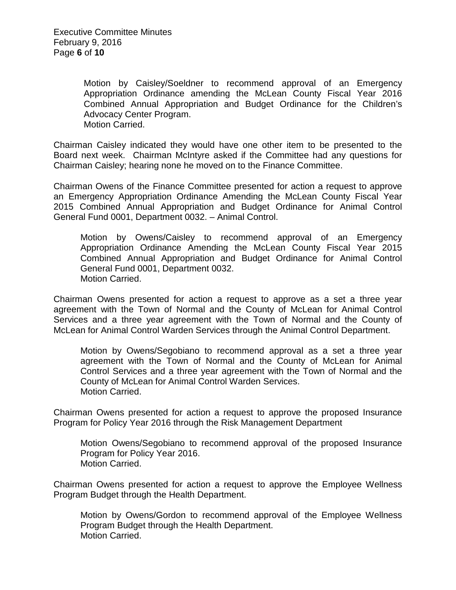Motion by Caisley/Soeldner to recommend approval of an Emergency Appropriation Ordinance amending the McLean County Fiscal Year 2016 Combined Annual Appropriation and Budget Ordinance for the Children's Advocacy Center Program. Motion Carried.

Chairman Caisley indicated they would have one other item to be presented to the Board next week. Chairman McIntyre asked if the Committee had any questions for Chairman Caisley; hearing none he moved on to the Finance Committee.

Chairman Owens of the Finance Committee presented for action a request to approve an Emergency Appropriation Ordinance Amending the McLean County Fiscal Year 2015 Combined Annual Appropriation and Budget Ordinance for Animal Control General Fund 0001, Department 0032. – Animal Control.

Motion by Owens/Caisley to recommend approval of an Emergency Appropriation Ordinance Amending the McLean County Fiscal Year 2015 Combined Annual Appropriation and Budget Ordinance for Animal Control General Fund 0001, Department 0032. Motion Carried.

Chairman Owens presented for action a request to approve as a set a three year agreement with the Town of Normal and the County of McLean for Animal Control Services and a three year agreement with the Town of Normal and the County of McLean for Animal Control Warden Services through the Animal Control Department.

Motion by Owens/Segobiano to recommend approval as a set a three year agreement with the Town of Normal and the County of McLean for Animal Control Services and a three year agreement with the Town of Normal and the County of McLean for Animal Control Warden Services. Motion Carried.

Chairman Owens presented for action a request to approve the proposed Insurance Program for Policy Year 2016 through the Risk Management Department

Motion Owens/Segobiano to recommend approval of the proposed Insurance Program for Policy Year 2016. Motion Carried.

Chairman Owens presented for action a request to approve the Employee Wellness Program Budget through the Health Department.

Motion by Owens/Gordon to recommend approval of the Employee Wellness Program Budget through the Health Department. Motion Carried.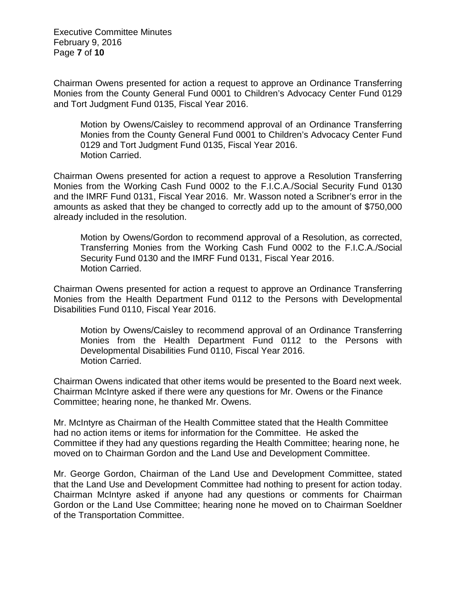Executive Committee Minutes February 9, 2016 Page **7** of **10**

Chairman Owens presented for action a request to approve an Ordinance Transferring Monies from the County General Fund 0001 to Children's Advocacy Center Fund 0129 and Tort Judgment Fund 0135, Fiscal Year 2016.

Motion by Owens/Caisley to recommend approval of an Ordinance Transferring Monies from the County General Fund 0001 to Children's Advocacy Center Fund 0129 and Tort Judgment Fund 0135, Fiscal Year 2016. Motion Carried.

Chairman Owens presented for action a request to approve a Resolution Transferring Monies from the Working Cash Fund 0002 to the F.I.C.A./Social Security Fund 0130 and the IMRF Fund 0131, Fiscal Year 2016. Mr. Wasson noted a Scribner's error in the amounts as asked that they be changed to correctly add up to the amount of \$750,000 already included in the resolution.

Motion by Owens/Gordon to recommend approval of a Resolution, as corrected, Transferring Monies from the Working Cash Fund 0002 to the F.I.C.A./Social Security Fund 0130 and the IMRF Fund 0131, Fiscal Year 2016. Motion Carried.

Chairman Owens presented for action a request to approve an Ordinance Transferring Monies from the Health Department Fund 0112 to the Persons with Developmental Disabilities Fund 0110, Fiscal Year 2016.

Motion by Owens/Caisley to recommend approval of an Ordinance Transferring Monies from the Health Department Fund 0112 to the Persons with Developmental Disabilities Fund 0110, Fiscal Year 2016. Motion Carried.

Chairman Owens indicated that other items would be presented to the Board next week. Chairman McIntyre asked if there were any questions for Mr. Owens or the Finance Committee; hearing none, he thanked Mr. Owens.

Mr. McIntyre as Chairman of the Health Committee stated that the Health Committee had no action items or items for information for the Committee. He asked the Committee if they had any questions regarding the Health Committee; hearing none, he moved on to Chairman Gordon and the Land Use and Development Committee.

Mr. George Gordon, Chairman of the Land Use and Development Committee, stated that the Land Use and Development Committee had nothing to present for action today. Chairman McIntyre asked if anyone had any questions or comments for Chairman Gordon or the Land Use Committee; hearing none he moved on to Chairman Soeldner of the Transportation Committee.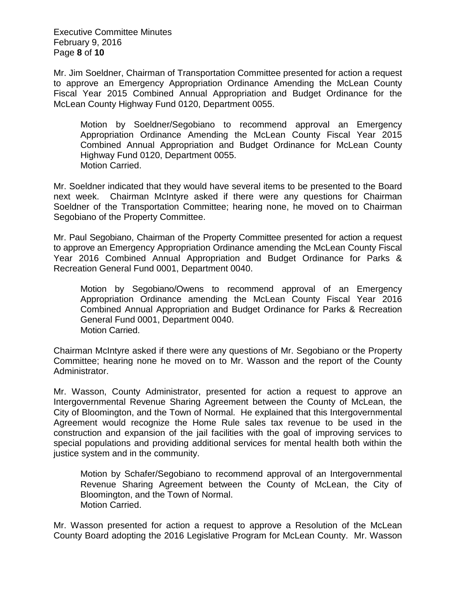Executive Committee Minutes February 9, 2016 Page **8** of **10**

Mr. Jim Soeldner, Chairman of Transportation Committee presented for action a request to approve an Emergency Appropriation Ordinance Amending the McLean County Fiscal Year 2015 Combined Annual Appropriation and Budget Ordinance for the McLean County Highway Fund 0120, Department 0055.

Motion by Soeldner/Segobiano to recommend approval an Emergency Appropriation Ordinance Amending the McLean County Fiscal Year 2015 Combined Annual Appropriation and Budget Ordinance for McLean County Highway Fund 0120, Department 0055. Motion Carried.

Mr. Soeldner indicated that they would have several items to be presented to the Board next week. Chairman McIntyre asked if there were any questions for Chairman Soeldner of the Transportation Committee; hearing none, he moved on to Chairman Segobiano of the Property Committee.

Mr. Paul Segobiano, Chairman of the Property Committee presented for action a request to approve an Emergency Appropriation Ordinance amending the McLean County Fiscal Year 2016 Combined Annual Appropriation and Budget Ordinance for Parks & Recreation General Fund 0001, Department 0040.

Motion by Segobiano/Owens to recommend approval of an Emergency Appropriation Ordinance amending the McLean County Fiscal Year 2016 Combined Annual Appropriation and Budget Ordinance for Parks & Recreation General Fund 0001, Department 0040. Motion Carried.

Chairman McIntyre asked if there were any questions of Mr. Segobiano or the Property Committee; hearing none he moved on to Mr. Wasson and the report of the County Administrator.

Mr. Wasson, County Administrator, presented for action a request to approve an Intergovernmental Revenue Sharing Agreement between the County of McLean, the City of Bloomington, and the Town of Normal. He explained that this Intergovernmental Agreement would recognize the Home Rule sales tax revenue to be used in the construction and expansion of the jail facilities with the goal of improving services to special populations and providing additional services for mental health both within the justice system and in the community.

Motion by Schafer/Segobiano to recommend approval of an Intergovernmental Revenue Sharing Agreement between the County of McLean, the City of Bloomington, and the Town of Normal. Motion Carried.

Mr. Wasson presented for action a request to approve a Resolution of the McLean County Board adopting the 2016 Legislative Program for McLean County. Mr. Wasson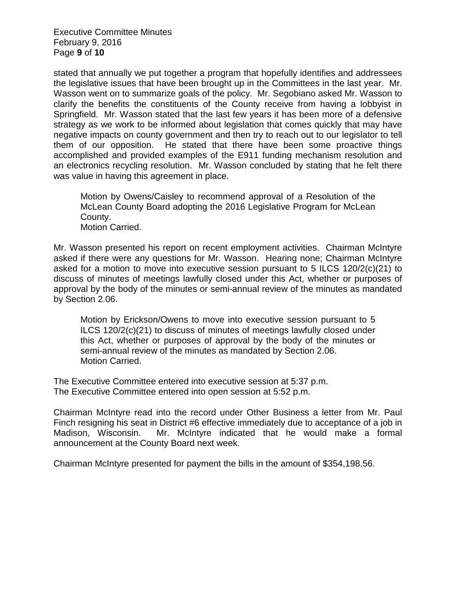Executive Committee Minutes February 9, 2016 Page **9** of **10**

stated that annually we put together a program that hopefully identifies and addressees the legislative issues that have been brought up in the Committees in the last year. Mr. Wasson went on to summarize goals of the policy. Mr. Segobiano asked Mr. Wasson to clarify the benefits the constituents of the County receive from having a lobbyist in Springfield. Mr. Wasson stated that the last few years it has been more of a defensive strategy as we work to be informed about legislation that comes quickly that may have negative impacts on county government and then try to reach out to our legislator to tell them of our opposition. He stated that there have been some proactive things accomplished and provided examples of the E911 funding mechanism resolution and an electronics recycling resolution. Mr. Wasson concluded by stating that he felt there was value in having this agreement in place.

Motion by Owens/Caisley to recommend approval of a Resolution of the McLean County Board adopting the 2016 Legislative Program for McLean County. Motion Carried.

Mr. Wasson presented his report on recent employment activities. Chairman McIntyre asked if there were any questions for Mr. Wasson. Hearing none; Chairman McIntyre asked for a motion to move into executive session pursuant to 5 ILCS 120/2(c)(21) to discuss of minutes of meetings lawfully closed under this Act, whether or purposes of approval by the body of the minutes or semi-annual review of the minutes as mandated by Section 2.06.

Motion by Erickson/Owens to move into executive session pursuant to 5 ILCS 120/2(c)(21) to discuss of minutes of meetings lawfully closed under this Act, whether or purposes of approval by the body of the minutes or semi-annual review of the minutes as mandated by Section 2.06. Motion Carried.

The Executive Committee entered into executive session at 5:37 p.m. The Executive Committee entered into open session at 5:52 p.m.

Chairman McIntyre read into the record under Other Business a letter from Mr. Paul Finch resigning his seat in District #6 effective immediately due to acceptance of a job in Madison, Wisconsin. Mr. McIntyre indicated that he would make a formal announcement at the County Board next week.

Chairman McIntyre presented for payment the bills in the amount of \$354,198.56.